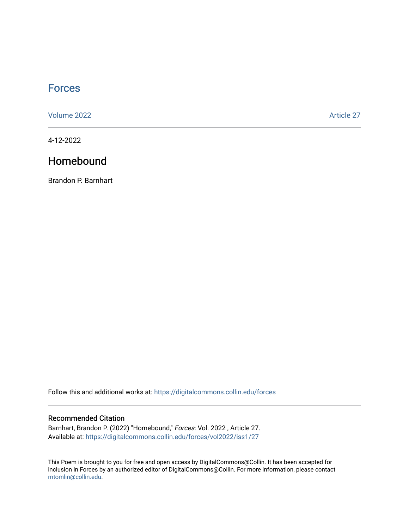# **[Forces](https://digitalcommons.collin.edu/forces)**

[Volume 2022](https://digitalcommons.collin.edu/forces/vol2022) [Article 27](https://digitalcommons.collin.edu/forces/vol2022/iss1/27) 

4-12-2022

## Homebound

Brandon P. Barnhart

Follow this and additional works at: [https://digitalcommons.collin.edu/forces](https://digitalcommons.collin.edu/forces?utm_source=digitalcommons.collin.edu%2Fforces%2Fvol2022%2Fiss1%2F27&utm_medium=PDF&utm_campaign=PDFCoverPages)

### Recommended Citation

Barnhart, Brandon P. (2022) "Homebound," Forces: Vol. 2022 , Article 27. Available at: [https://digitalcommons.collin.edu/forces/vol2022/iss1/27](https://digitalcommons.collin.edu/forces/vol2022/iss1/27?utm_source=digitalcommons.collin.edu%2Fforces%2Fvol2022%2Fiss1%2F27&utm_medium=PDF&utm_campaign=PDFCoverPages) 

This Poem is brought to you for free and open access by DigitalCommons@Collin. It has been accepted for inclusion in Forces by an authorized editor of DigitalCommons@Collin. For more information, please contact [mtomlin@collin.edu.](mailto:mtomlin@collin.edu)